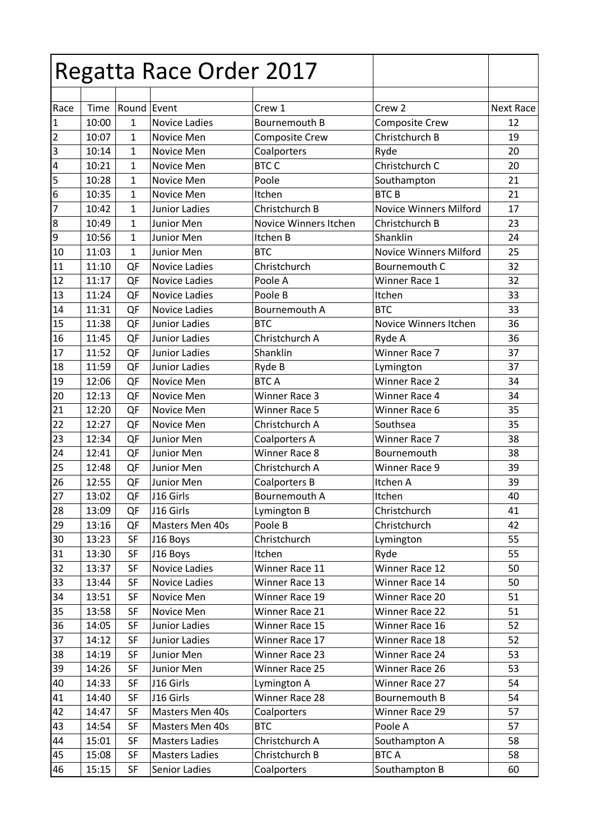|                  |                |              | Regatta Race Order 2017 |                                        |                               |                  |
|------------------|----------------|--------------|-------------------------|----------------------------------------|-------------------------------|------------------|
| Race             | Time           | Round Event  |                         | Crew 1                                 | Crew 2                        | <b>Next Race</b> |
| $\overline{1}$   | 10:00          | 1            | <b>Novice Ladies</b>    | Bournemouth B                          | <b>Composite Crew</b>         | 12               |
| $\sqrt{2}$       | 10:07          | $\mathbf{1}$ | Novice Men              | <b>Composite Crew</b>                  | Christchurch B                | 19               |
| $\overline{3}$   | 10:14          | 1            | Novice Men              | Coalporters                            | Ryde                          | 20               |
| $\overline{4}$   | 10:21          | $\mathbf{1}$ | Novice Men              | <b>BTC C</b>                           | Christchurch C                | 20               |
| $\overline{5}$   | 10:28          | $\mathbf{1}$ | Novice Men              | Poole                                  | Southampton                   | 21               |
| $\overline{6}$   | 10:35          | 1            | Novice Men              | Itchen                                 | <b>BTCB</b>                   | 21               |
| $\overline{7}$   | 10:42          | 1            | <b>Junior Ladies</b>    | Christchurch B                         | <b>Novice Winners Milford</b> | 17               |
| $\boldsymbol{8}$ | 10:49          | 1            | Junior Men              | Novice Winners Itchen                  | Christchurch B                | 23               |
| $\overline{9}$   | 10:56          | $\mathbf{1}$ | Junior Men              | Itchen B                               | Shanklin                      | 24               |
| 10               | 11:03          | $\mathbf{1}$ | Junior Men              | <b>BTC</b>                             | <b>Novice Winners Milford</b> | 25               |
| 11               | 11:10          | QF           | <b>Novice Ladies</b>    | Christchurch                           | Bournemouth C                 | 32               |
| 12               | 11:17          | QF           | <b>Novice Ladies</b>    | Poole A                                | Winner Race 1                 | 32               |
| 13               | 11:24          | QF           | <b>Novice Ladies</b>    | Poole B                                | Itchen                        | 33               |
| 14               | 11:31          | QF           | <b>Novice Ladies</b>    | Bournemouth A                          | <b>BTC</b>                    | 33               |
| 15               | 11:38          | QF           | <b>Junior Ladies</b>    | <b>BTC</b>                             | Novice Winners Itchen         | 36               |
| 16               | 11:45          | QF           | Junior Ladies           | Christchurch A                         | Ryde A                        | 36               |
| 17               | 11:52          | QF           | <b>Junior Ladies</b>    | Shanklin                               | Winner Race 7                 | 37               |
| 18               | 11:59          | QF           | <b>Junior Ladies</b>    | Ryde B                                 |                               | 37               |
| 19               | 12:06          | QF           | Novice Men              | <b>BTCA</b>                            | Lymington<br>Winner Race 2    | 34               |
| 20               | 12:13          | QF           | Novice Men              | Winner Race 3                          | Winner Race 4                 | 34               |
|                  | 12:20          |              |                         |                                        | Winner Race 6                 | 35               |
| 21<br>22         | 12:27          | QF           | Novice Men              | <b>Winner Race 5</b><br>Christchurch A | Southsea                      | 35               |
| 23               |                | QF           | Novice Men              |                                        |                               |                  |
|                  | 12:34<br>12:41 | QF           | Junior Men              | Coalporters A<br>Winner Race 8         | Winner Race 7<br>Bournemouth  | 38<br>38         |
| 24               |                | QF           | Junior Men              |                                        | Winner Race 9                 |                  |
| 25               | 12:48          | QF           | Junior Men              | Christchurch A                         |                               | 39               |
| 26<br>27         | 12:55          | QF           | Junior Men              | Coalporters B                          | Itchen A                      | 39               |
|                  | 13:02          | QF           | J16 Girls               | Bournemouth A                          | Itchen                        | 40               |
| 28               | 13:09          | QF           | J16 Girls               | Lymington B                            | Christchurch                  | 41               |
| 29               | 13:16          | QF           | Masters Men 40s         | Poole B                                | Christchurch                  | 42               |
| 30               | 13:23          | SF           | J16 Boys                | Christchurch                           | Lymington                     | 55               |
| 31               | 13:30          | SF           | J16 Boys                | Itchen                                 | Ryde                          | 55               |
| 32               | 13:37          | <b>SF</b>    | <b>Novice Ladies</b>    | Winner Race 11                         | Winner Race 12                | 50               |
| 33               | 13:44          | SF           | Novice Ladies           | Winner Race 13                         | Winner Race 14                | 50               |
| 34               | 13:51          | SF           | Novice Men              | Winner Race 19                         | Winner Race 20                | 51               |
| 35               | 13:58          | SF           | Novice Men              | Winner Race 21                         | Winner Race 22                | 51               |
| 36               | 14:05          | SF           | Junior Ladies           | Winner Race 15                         | Winner Race 16                | 52               |
| 37               | 14:12          | SF           | Junior Ladies           | Winner Race 17                         | Winner Race 18                | 52               |
| 38               | 14:19          | SF           | Junior Men              | Winner Race 23                         | Winner Race 24                | 53               |
| 39               | 14:26          | SF           | Junior Men              | Winner Race 25                         | Winner Race 26                | 53               |
| 40               | 14:33          | SF           | J16 Girls               | Lymington A                            | Winner Race 27                | 54               |
| 41               | 14:40          | SF           | J16 Girls               | Winner Race 28                         | Bournemouth B                 | 54               |
| 42               | 14:47          | SF           | Masters Men 40s         | Coalporters                            | Winner Race 29                | 57               |
| 43               | 14:54          | SF           | Masters Men 40s         | <b>BTC</b>                             | Poole A                       | 57               |
| 44               | 15:01          | SF           | <b>Masters Ladies</b>   | Christchurch A                         | Southampton A                 | 58               |
| 45               | 15:08          | SF           | <b>Masters Ladies</b>   | Christchurch B                         | <b>BTCA</b>                   | 58               |
| 46               | 15:15          | SF           | Senior Ladies           | Coalporters                            | Southampton B                 | 60               |